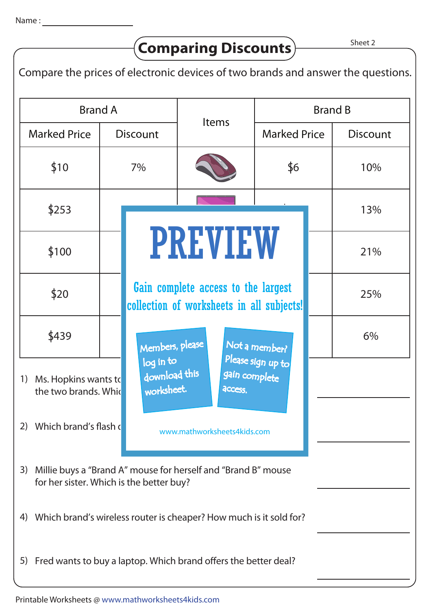Sheet 2 Brand B **Discount** Brand A **Discount** \$10 S100  $$20$ S439 S253 7% Gain complete access to the largest 18% 16% S6 S250 S115 S8 S439 10% 13% 21% 25% 6% Items 1) Ms. Hopkins wants to the two brands. Which 2) Which brand's flash drive and how mathworksheets lids com 3) Millie buys a "Brand A" mouse for herself and "Brand B" mouse for her sister. Which is the better buy? 4) Which brand's wireless router is cheaper? How much is it sold for? 5) Fred wants to buy a laptop. Which brand offers the better deal? Compare the prices of electronic devices of two brands and answer the questions. **Comparing Discounts** Marked Price | Discount | Marked Price PREVIEW www.mathworksheets4kids.com Members, please download this worksheet. log in to Not a member? gain complete Please sign up to **access** collection of worksheets in all subjects!

## Printable Worksheets @ www.mathworksheets4kids.com